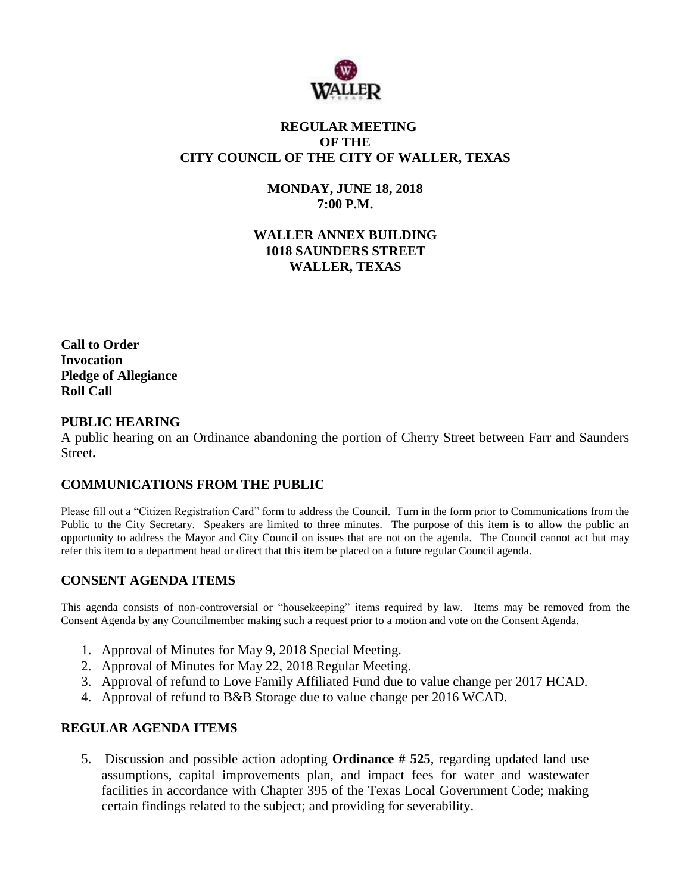

# **REGULAR MEETING OF THE CITY COUNCIL OF THE CITY OF WALLER, TEXAS**

**MONDAY, JUNE 18, 2018 7:00 P.M.**

**WALLER ANNEX BUILDING 1018 SAUNDERS STREET WALLER, TEXAS**

**Call to Order Invocation Pledge of Allegiance Roll Call**

### **PUBLIC HEARING**

A public hearing on an Ordinance abandoning the portion of Cherry Street between Farr and Saunders Street**.**

## **COMMUNICATIONS FROM THE PUBLIC**

Please fill out a "Citizen Registration Card" form to address the Council. Turn in the form prior to Communications from the Public to the City Secretary. Speakers are limited to three minutes. The purpose of this item is to allow the public an opportunity to address the Mayor and City Council on issues that are not on the agenda. The Council cannot act but may refer this item to a department head or direct that this item be placed on a future regular Council agenda.

## **CONSENT AGENDA ITEMS**

This agenda consists of non-controversial or "housekeeping" items required by law. Items may be removed from the Consent Agenda by any Councilmember making such a request prior to a motion and vote on the Consent Agenda.

- 1. Approval of Minutes for May 9, 2018 Special Meeting.
- 2. Approval of Minutes for May 22, 2018 Regular Meeting.
- 3. Approval of refund to Love Family Affiliated Fund due to value change per 2017 HCAD.
- 4. Approval of refund to B&B Storage due to value change per 2016 WCAD.

#### **REGULAR AGENDA ITEMS**

5. Discussion and possible action adopting **Ordinance # 525**, regarding updated land use assumptions, capital improvements plan, and impact fees for water and wastewater facilities in accordance with Chapter 395 of the Texas Local Government Code; making certain findings related to the subject; and providing for severability.